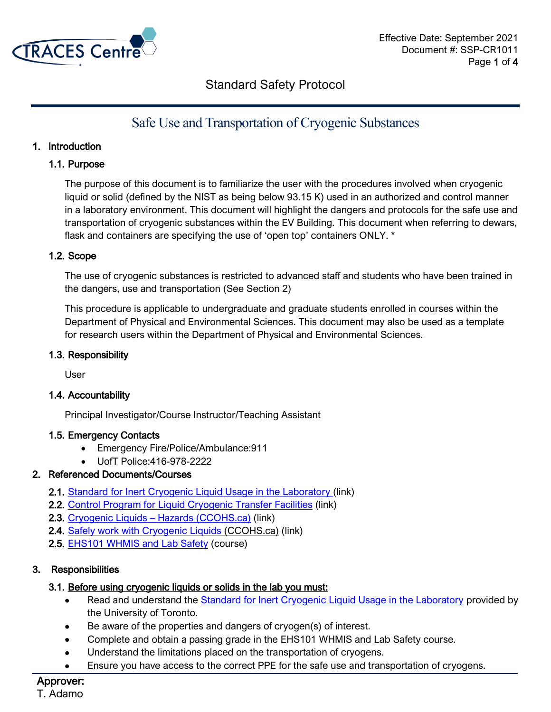

# Safe Use and Transportation of Cryogenic Substances

### 1. Introduction

### 1.1. Purpose

The purpose of this document is to familiarize the user with the procedures involved when cryogenic liquid or solid (defined by the NIST as being below 93.15 K) used in an authorized and control manner in a laboratory environment. This document will highlight the dangers and protocols for the safe use and transportation of cryogenic substances within the EV Building. This document when referring to dewars, flask and containers are specifying the use of 'open top' containers ONLY. \*

### 1.2. Scope

The use of cryogenic substances is restricted to advanced staff and students who have been trained in the dangers, use and transportation (See Section 2)

This procedure is applicable to undergraduate and graduate students enrolled in courses within the Department of Physical and Environmental Sciences. This document may also be used as a template for research users within the Department of Physical and Environmental Sciences.

### 1.3. Responsibility

User

#### 1.4. Accountability

Principal Investigator/Course Instructor/Teaching Assistant

### 1.5. Emergency Contacts

- Emergency Fire/Police/Ambulance:911
- UofT Police:416-978-2222

### 2. Referenced Documents/Courses

- 2.1. [Standard for Inert Cryogenic Liquid Usage in the Laboratory](https://ehs.utoronto.ca/wp-content/uploads/2015/10/Standard-for-Inert-Cryogenic-Liquid-Usage-in-the-Laboratory-Updated.pdf) (link)
- 2.2. [Control Program for Liquid Cryogenic Transfer Facilities](https://ehs.utoronto.ca/wp-content/uploads/2015/10/Control-Program-for-Liquid-Cryogenic-Transfer-Facilities.pdf) (link)
- 2.3. Cryogenic Liquids [Hazards \(CCOHS.ca\)](https://www.ccohs.ca/oshanswers/chemicals/cryogenic/cryogen1.html) (link)
- 2.4. [Safely work with Cryogenic Liquids](https://www.ccohs.ca/oshanswers/prevention/cryogens.html) (CCOHS.ca) (link)
- 2.5. [EHS101 WHMIS and Lab Safety](https://ehs.utoronto.ca/our-services/chemical-and-lab-safety/whmis/whmis-lab-safety-training/) (course)

### 3. Responsibilities

### 3.1. Before using cryogenic liquids or solids in the lab you must:

- Read and understand the **Standard for Inert Cryogenic Liquid Usage in the Laboratory** provided by the University of Toronto.
- Be aware of the properties and dangers of cryogen(s) of interest.
- Complete and obtain a passing grade in the EHS101 WHMIS and Lab Safety course.
- Understand the limitations placed on the transportation of cryogens.
- Ensure you have access to the correct PPE for the safe use and transportation of cryogens.

# Approver: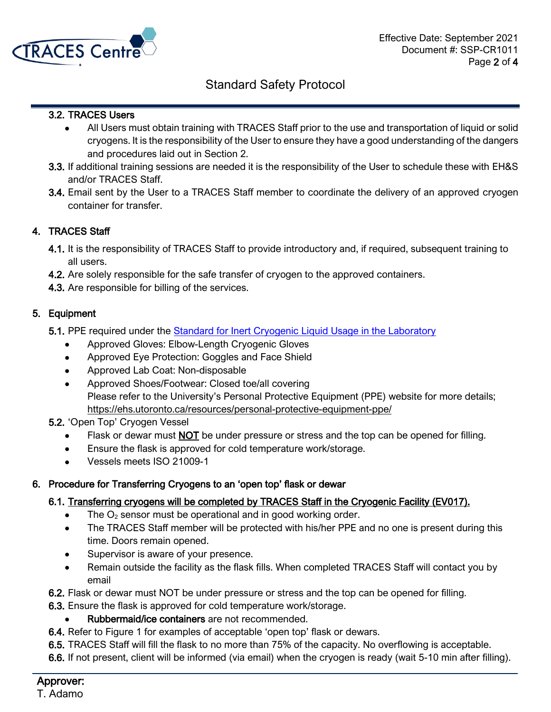

### 3.2. TRACES Users

- All Users must obtain training with TRACES Staff prior to the use and transportation of liquid or solid cryogens. It is the responsibility of the User to ensure they have a good understanding of the dangers and procedures laid out in Section 2.
- 3.3. If additional training sessions are needed it is the responsibility of the User to schedule these with EH&S and/or TRACES Staff.
- 3.4. Email sent by the User to a TRACES Staff member to coordinate the delivery of an approved cryogen container for transfer.

### 4. TRACES Staff

- 4.1. It is the responsibility of TRACES Staff to provide introductory and, if required, subsequent training to all users.
- 4.2. Are solely responsible for the safe transfer of cryogen to the approved containers.
- 4.3. Are responsible for billing of the services.

### 5. Equipment

- 5.1. PPE required under the **Standard for Inert Cryogenic Liquid Usage in the Laboratory** 
	- Approved Gloves: Elbow-Length Cryogenic Gloves
	- Approved Eye Protection: Goggles and Face Shield
	- Approved Lab Coat: Non-disposable
	- Approved Shoes/Footwear: Closed toe/all covering Please refer to the University's Personal Protective Equipment (PPE) website for more details; https://ehs.utoronto.ca/resources/personal-protective-equipment-ppe/

### 5.2. 'Open Top' Cryogen Vessel

- Flask or dewar must NOT be under pressure or stress and the top can be opened for filling.
- Ensure the flask is approved for cold temperature work/storage.
- Vessels meets ISO 21009-1

### 6. Procedure for Transferring Cryogens to an 'open top' flask or dewar

### 6.1. Transferring cryogens will be completed by TRACES Staff in the Cryogenic Facility (EV017).

- The  $O_2$  sensor must be operational and in good working order.
- The TRACES Staff member will be protected with his/her PPE and no one is present during this time. Doors remain opened.
- Supervisor is aware of your presence.
- Remain outside the facility as the flask fills. When completed TRACES Staff will contact you by email

6.2. Flask or dewar must NOT be under pressure or stress and the top can be opened for filling.

- 6.3. Ensure the flask is approved for cold temperature work/storage.
	- Rubbermaid/ice containers are not recommended.
- 6.4. Refer to Figure 1 for examples of acceptable 'open top' flask or dewars.
- 6.5. TRACES Staff will fill the flask to no more than 75% of the capacity. No overflowing is acceptable.
- 6.6. If not present, client will be informed (via email) when the cryogen is ready (wait 5-10 min after filling).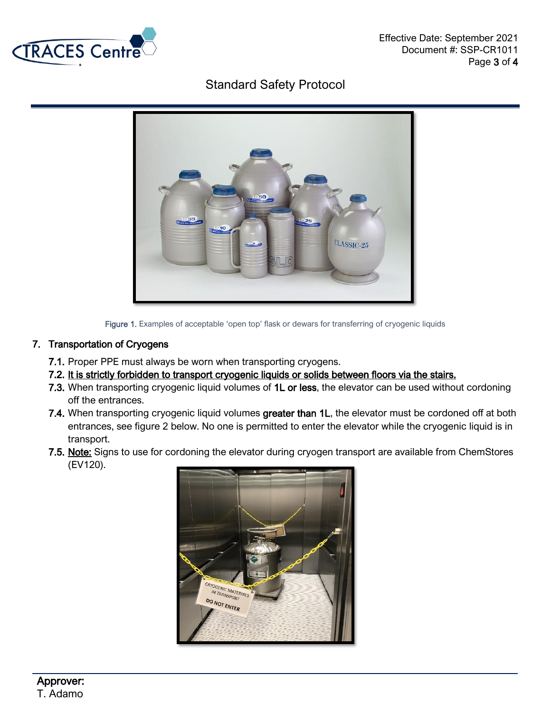



Figure 1. Examples of acceptable 'open top' flask or dewars for transferring of cryogenic liquids

### 7. Transportation of Cryogens

- 7.1. Proper PPE must always be worn when transporting cryogens.
- 7.2. It is strictly forbidden to transport cryogenic liquids or solids between floors via the stairs.
- 7.3. When transporting cryogenic liquid volumes of 1L or less, the elevator can be used without cordoning off the entrances.
- 7.4. When transporting cryogenic liquid volumes greater than 1L, the elevator must be cordoned off at both entrances, see figure 2 below. No one is permitted to enter the elevator while the cryogenic liquid is in transport.
- 7.5. Note: Signs to use for cordoning the elevator during cryogen transport are available from ChemStores (EV120).